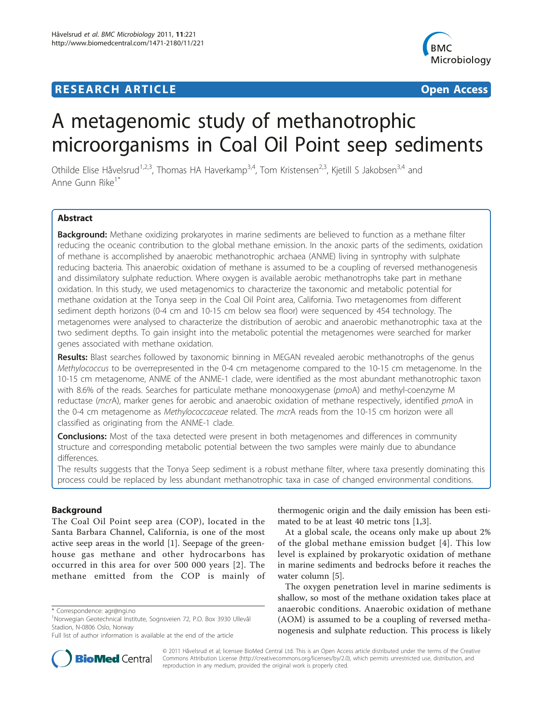# **RESEARCH ARTICLE Example 2014 12:30 The Contract of Contract ACCESS**



# A metagenomic study of methanotrophic microorganisms in Coal Oil Point seep sediments

Othilde Elise Håvelsrud<sup>1,2,3</sup>, Thomas HA Haverkamp<sup>3,4</sup>, Tom Kristensen<sup>2,3</sup>, Kjetill S Jakobsen<sup>3,4</sup> and Anne Gunn Rike<sup>1</sup>

# Abstract

Background: Methane oxidizing prokaryotes in marine sediments are believed to function as a methane filter reducing the oceanic contribution to the global methane emission. In the anoxic parts of the sediments, oxidation of methane is accomplished by anaerobic methanotrophic archaea (ANME) living in syntrophy with sulphate reducing bacteria. This anaerobic oxidation of methane is assumed to be a coupling of reversed methanogenesis and dissimilatory sulphate reduction. Where oxygen is available aerobic methanotrophs take part in methane oxidation. In this study, we used metagenomics to characterize the taxonomic and metabolic potential for methane oxidation at the Tonya seep in the Coal Oil Point area, California. Two metagenomes from different sediment depth horizons (0-4 cm and 10-15 cm below sea floor) were sequenced by 454 technology. The metagenomes were analysed to characterize the distribution of aerobic and anaerobic methanotrophic taxa at the two sediment depths. To gain insight into the metabolic potential the metagenomes were searched for marker genes associated with methane oxidation.

Results: Blast searches followed by taxonomic binning in MEGAN revealed aerobic methanotrophs of the genus Methylococcus to be overrepresented in the 0-4 cm metagenome compared to the 10-15 cm metagenome. In the 10-15 cm metagenome, ANME of the ANME-1 clade, were identified as the most abundant methanotrophic taxon with 8.6% of the reads. Searches for particulate methane monooxygenase (pmoA) and methyl-coenzyme M reductase (mcrA), marker genes for aerobic and anaerobic oxidation of methane respectively, identified pmoA in the 0-4 cm metagenome as *Methylococcaceae* related. The mcrA reads from the 10-15 cm horizon were all classified as originating from the ANME-1 clade.

**Conclusions:** Most of the taxa detected were present in both metagenomes and differences in community structure and corresponding metabolic potential between the two samples were mainly due to abundance differences.

The results suggests that the Tonya Seep sediment is a robust methane filter, where taxa presently dominating this process could be replaced by less abundant methanotrophic taxa in case of changed environmental conditions.

#### Background

The Coal Oil Point seep area (COP), located in the Santa Barbara Channel, California, is one of the most active seep areas in the world [[1\]](#page-11-0). Seepage of the greenhouse gas methane and other hydrocarbons has occurred in this area for over 500 000 years [[2](#page-12-0)]. The methane emitted from the COP is mainly of



At a global scale, the oceans only make up about 2% of the global methane emission budget [[4\]](#page-12-0). This low level is explained by prokaryotic oxidation of methane in marine sediments and bedrocks before it reaches the water column [[5](#page-12-0)].

The oxygen penetration level in marine sediments is shallow, so most of the methane oxidation takes place at anaerobic conditions. Anaerobic oxidation of methane (AOM) is assumed to be a coupling of reversed methanogenesis and sulphate reduction. This process is likely



© 2011 Håvelsrud et al; licensee BioMed Central Ltd. This is an Open Access article distributed under the terms of the Creative Commons Attribution License [\(http://creativecommons.org/licenses/by/2.0](http://creativecommons.org/licenses/by/2.0)), which permits unrestricted use, distribution, and reproduction in any medium, provided the original work is properly cited.

<sup>\*</sup> Correspondence: [agr@ngi.no](mailto:agr@ngi.no)

<sup>1</sup> Norwegian Geotechnical Institute, Sognsveien 72, P.O. Box 3930 Ullevål Stadion, N-0806 Oslo, Norway

Full list of author information is available at the end of the article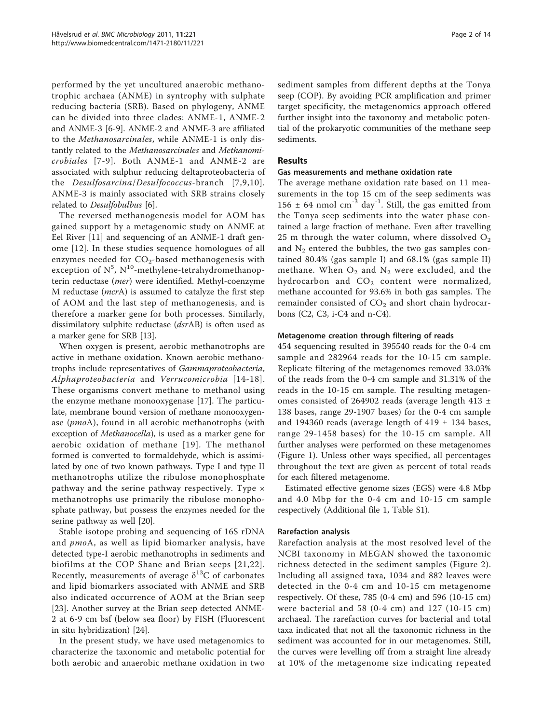performed by the yet uncultured anaerobic methanotrophic archaea (ANME) in syntrophy with sulphate reducing bacteria (SRB). Based on phylogeny, ANME can be divided into three clades: ANME-1, ANME-2 and ANME-3 [[6-9](#page-12-0)]. ANME-2 and ANME-3 are affiliated to the Methanosarcinales, while ANME-1 is only distantly related to the Methanosarcinales and Methanomicrobiales [[7-9](#page-12-0)]. Both ANME-1 and ANME-2 are associated with sulphur reducing deltaproteobacteria of the Desulfosarcina/Desulfococcus-branch [[7](#page-12-0),[9](#page-12-0),[10\]](#page-12-0). ANME-3 is mainly associated with SRB strains closely related to Desulfobulbus [\[6](#page-12-0)].

The reversed methanogenesis model for AOM has gained support by a metagenomic study on ANME at Eel River [\[11](#page-12-0)] and sequencing of an ANME-1 draft genome [[12\]](#page-12-0). In these studies sequence homologues of all enzymes needed for  $CO<sub>2</sub>$ -based methanogenesis with exception of  $N^5$ ,  $N^{10}$ -methylene-tetrahydromethanopterin reductase (mer) were identified. Methyl-coenzyme M reductase (mcrA) is assumed to catalyze the first step of AOM and the last step of methanogenesis, and is therefore a marker gene for both processes. Similarly, dissimilatory sulphite reductase (dsrAB) is often used as a marker gene for SRB [[13\]](#page-12-0).

When oxygen is present, aerobic methanotrophs are active in methane oxidation. Known aerobic methanotrophs include representatives of Gammaproteobacteria, Alphaproteobacteria and Verrucomicrobia [[14-18\]](#page-12-0). These organisms convert methane to methanol using the enzyme methane monooxygenase [\[17](#page-12-0)]. The particulate, membrane bound version of methane monooxygenase (pmoA), found in all aerobic methanotrophs (with exception of Methanocella), is used as a marker gene for aerobic oxidation of methane [[19\]](#page-12-0). The methanol formed is converted to formaldehyde, which is assimilated by one of two known pathways. Type I and type II methanotrophs utilize the ribulose monophosphate pathway and the serine pathway respectively. Type × methanotrophs use primarily the ribulose monophosphate pathway, but possess the enzymes needed for the serine pathway as well [[20\]](#page-12-0).

Stable isotope probing and sequencing of 16S rDNA and pmoA, as well as lipid biomarker analysis, have detected type-I aerobic methanotrophs in sediments and biofilms at the COP Shane and Brian seeps [[21,22\]](#page-12-0). Recently, measurements of average  $\delta^{13}C$  of carbonates and lipid biomarkers associated with ANME and SRB also indicated occurrence of AOM at the Brian seep [[23\]](#page-12-0). Another survey at the Brian seep detected ANME-2 at 6-9 cm bsf (below sea floor) by FISH (Fluorescent in situ hybridization) [[24\]](#page-12-0).

In the present study, we have used metagenomics to characterize the taxonomic and metabolic potential for both aerobic and anaerobic methane oxidation in two sediment samples from different depths at the Tonya seep (COP). By avoiding PCR amplification and primer target specificity, the metagenomics approach offered further insight into the taxonomy and metabolic potential of the prokaryotic communities of the methane seep sediments.

# Results

#### Gas measurements and methane oxidation rate

The average methane oxidation rate based on 11 measurements in the top 15 cm of the seep sediments was 156  $\pm$  64 nmol cm<sup>-3</sup> day<sup>-1</sup>. Still, the gas emitted from the Tonya seep sediments into the water phase contained a large fraction of methane. Even after travelling 25 m through the water column, where dissolved  $O_2$ and  $N_2$  entered the bubbles, the two gas samples contained 80.4% (gas sample I) and 68.1% (gas sample II) methane. When  $O_2$  and  $N_2$  were excluded, and the hydrocarbon and  $CO<sub>2</sub>$  content were normalized, methane accounted for 93.6% in both gas samples. The remainder consisted of  $CO<sub>2</sub>$  and short chain hydrocarbons (C2, C3, i-C4 and n-C4).

#### Metagenome creation through filtering of reads

454 sequencing resulted in 395540 reads for the 0-4 cm sample and 282964 reads for the 10-15 cm sample. Replicate filtering of the metagenomes removed 33.03% of the reads from the 0-4 cm sample and 31.31% of the reads in the 10-15 cm sample. The resulting metagenomes consisted of 264902 reads (average length 413 ± 138 bases, range 29-1907 bases) for the 0-4 cm sample and 194360 reads (average length of  $419 \pm 134$  bases, range 29-1458 bases) for the 10-15 cm sample. All further analyses were performed on these metagenomes (Figure [1](#page-2-0)). Unless other ways specified, all percentages throughout the text are given as percent of total reads for each filtered metagenome.

Estimated effective genome sizes (EGS) were 4.8 Mbp and 4.0 Mbp for the 0-4 cm and 10-15 cm sample respectively (Additional file [1,](#page-11-0) Table S1).

#### Rarefaction analysis

Rarefaction analysis at the most resolved level of the NCBI taxonomy in MEGAN showed the taxonomic richness detected in the sediment samples (Figure [2\)](#page-3-0). Including all assigned taxa, 1034 and 882 leaves were detected in the 0-4 cm and 10-15 cm metagenome respectively. Of these, 785 (0-4 cm) and 596 (10-15 cm) were bacterial and 58 (0-4 cm) and 127 (10-15 cm) archaeal. The rarefaction curves for bacterial and total taxa indicated that not all the taxonomic richness in the sediment was accounted for in our metagenomes. Still, the curves were levelling off from a straight line already at 10% of the metagenome size indicating repeated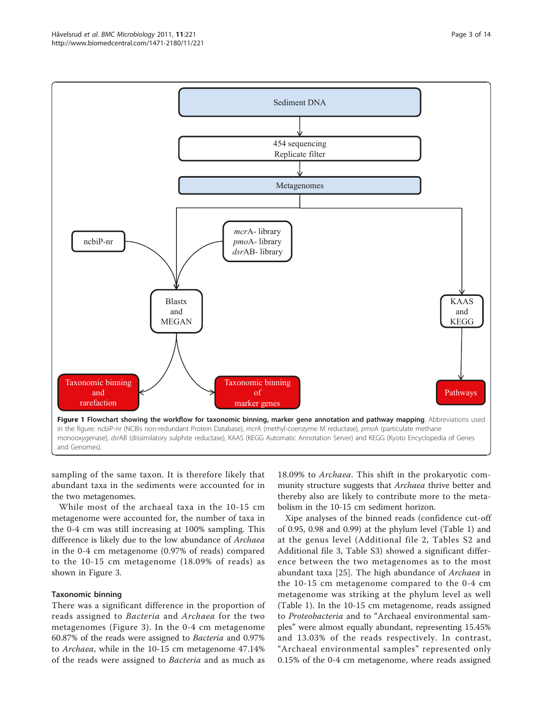<span id="page-2-0"></span>Håvelsrud et al. BMC Microbiology 2011, <sup>11</sup>:221 http://www.biomedcentral.com/1471-2180/11/221



sampling of the same taxon. It is therefore likely that abundant taxa in the sediments were accounted for in the two metagenomes.

While most of the archaeal taxa in the 10-15 cm metagenome were accounted for, the number of taxa in the 0-4 cm was still increasing at 100% sampling. This difference is likely due to the low abundance of Archaea in the 0-4 cm metagenome (0.97% of reads) compared to the 10-15 cm metagenome (18.09% of reads) as shown in Figure [3](#page-3-0).

#### Taxonomic binning

There was a significant difference in the proportion of reads assigned to Bacteria and Archaea for the two metagenomes (Figure [3](#page-3-0)). In the 0-4 cm metagenome 60.87% of the reads were assigned to Bacteria and 0.97% to Archaea, while in the 10-15 cm metagenome 47.14% of the reads were assigned to Bacteria and as much as 18.09% to Archaea. This shift in the prokaryotic community structure suggests that Archaea thrive better and thereby also are likely to contribute more to the metabolism in the 10-15 cm sediment horizon.

Xipe analyses of the binned reads (confidence cut-off of 0.95, 0.98 and 0.99) at the phylum level (Table [1](#page-4-0)) and at the genus level (Additional file [2](#page-11-0), Tables S2 and Additional file [3,](#page-11-0) Table S3) showed a significant difference between the two metagenomes as to the most abundant taxa [\[25](#page-12-0)]. The high abundance of Archaea in the 10-15 cm metagenome compared to the 0-4 cm metagenome was striking at the phylum level as well (Table [1\)](#page-4-0). In the 10-15 cm metagenome, reads assigned to Proteobacteria and to "Archaeal environmental samples" were almost equally abundant, representing 15.45% and 13.03% of the reads respectively. In contrast, "Archaeal environmental samples" represented only 0.15% of the 0-4 cm metagenome, where reads assigned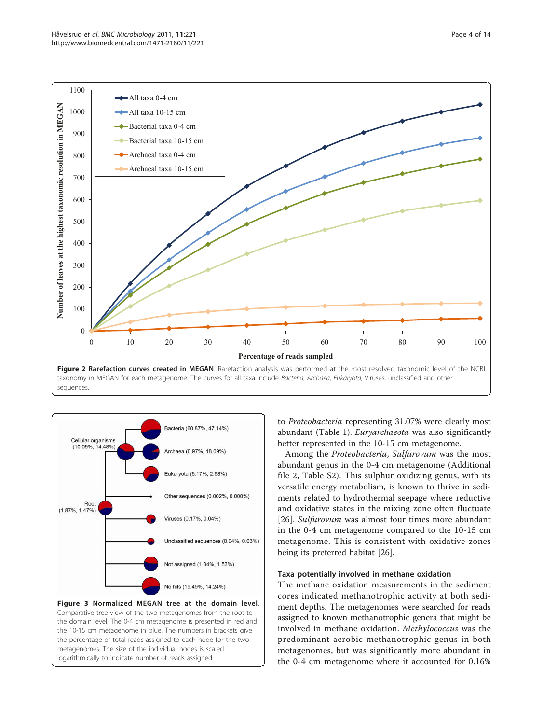<span id="page-3-0"></span>

taxonomy in MEGAN for each metagenome. The curves for all taxa include Bacteria, Archaea, Eukaryota, Viruses, unclassified and other sequences.



logarithmically to indicate number of reads assigned.

to Proteobacteria representing 31.07% were clearly most abundant (Table [1\)](#page-4-0). Euryarchaeota was also significantly better represented in the 10-15 cm metagenome.

Among the Proteobacteria, Sulfurovum was the most abundant genus in the 0-4 cm metagenome (Additional file [2](#page-11-0), Table S2). This sulphur oxidizing genus, with its versatile energy metabolism, is known to thrive in sediments related to hydrothermal seepage where reductive and oxidative states in the mixing zone often fluctuate [[26\]](#page-12-0). Sulfurovum was almost four times more abundant in the 0-4 cm metagenome compared to the 10-15 cm metagenome. This is consistent with oxidative zones being its preferred habitat [[26](#page-12-0)].

# Taxa potentially involved in methane oxidation

The methane oxidation measurements in the sediment cores indicated methanotrophic activity at both sediment depths. The metagenomes were searched for reads assigned to known methanotrophic genera that might be involved in methane oxidation. Methylococcus was the predominant aerobic methanotrophic genus in both metagenomes, but was significantly more abundant in the 0-4 cm metagenome where it accounted for 0.16%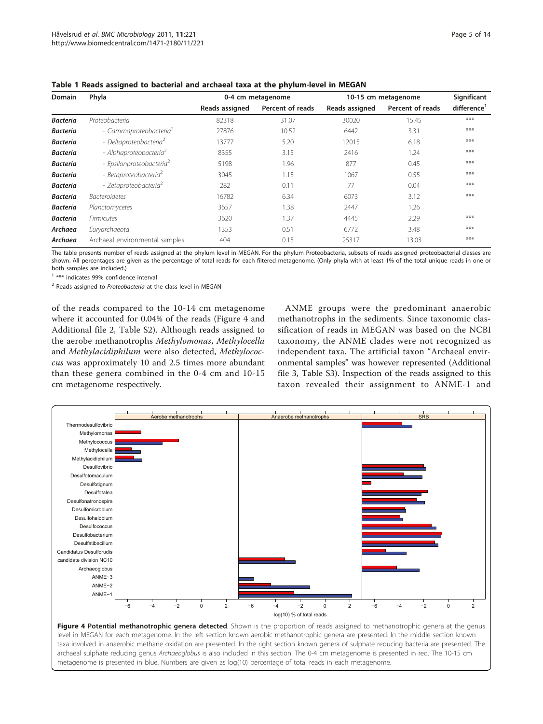| <b>Domain</b>   | Phyla                                |                | 0-4 cm metagenome | 10-15 cm metagenome |                  | Significant             |
|-----------------|--------------------------------------|----------------|-------------------|---------------------|------------------|-------------------------|
|                 |                                      | Reads assigned | Percent of reads  | Reads assigned      | Percent of reads | difference <sup>1</sup> |
| <b>Bacteria</b> | Proteobacteria                       | 82318          | 31.07             | 30020               | 15.45            | ***                     |
| <b>Bacteria</b> | - Gammaproteobacteria <sup>2</sup>   | 27876          | 10.52             | 6442                | 3.31             | ***                     |
| <b>Bacteria</b> | - Deltaproteobacteria <sup>2</sup>   | 13777          | 5.20              | 12015               | 6.18             | ***                     |
| <b>Bacteria</b> | - Alphaproteobacteria <sup>2</sup>   | 8355           | 3.15              | 2416                | 1.24             | ***                     |
| <b>Bacteria</b> | - Epsilonproteobacteria <sup>2</sup> | 5198           | 1.96              | 877                 | 0.45             | ***                     |
| <b>Bacteria</b> | - Betaproteobacteria <sup>2</sup>    | 3045           | 1.15              | 1067                | 0.55             | ***                     |
| <b>Bacteria</b> | - Zetaproteobacteria <sup>2</sup>    | 282            | 0.11              | 77                  | 0.04             | ***                     |
| <b>Bacteria</b> | <b>Bacteroidetes</b>                 | 16782          | 6.34              | 6073                | 3.12             | ***                     |
| <b>Bacteria</b> | Planctomycetes                       | 3657           | 1.38              | 2447                | 1.26             |                         |
| <b>Bacteria</b> | <b>Firmicutes</b>                    | 3620           | 1.37              | 4445                | 2.29             | ***                     |
| Archaea         | Euryarchaeota                        | 1353           | 0.51              | 6772                | 3.48             | ***                     |
| Archaea         | Archaeal environmental samples       | 404            | 0.15              | 25317               | 13.03            | ***                     |

<span id="page-4-0"></span>Table 1 Reads assigned to bacterial and archaeal taxa at the phylum-level in MEGAN

The table presents number of reads assigned at the phylum level in MEGAN. For the phylum Proteobacteria, subsets of reads assigned proteobacterial classes are shown. All percentages are given as the percentage of total reads for each filtered metagenome. (Only phyla with at least 1% of the total unique reads in one or both samples are included.)

<sup>1</sup> \*\*\* indicates 99% confidence interval

<sup>2</sup> Reads assigned to Proteobacteria at the class level in MEGAN

of the reads compared to the 10-14 cm metagenome where it accounted for 0.04% of the reads (Figure 4 and Additional file [2,](#page-11-0) Table S2). Although reads assigned to the aerobe methanotrophs Methylomonas, Methylocella and Methylacidiphilum were also detected, Methylococcus was approximately 10 and 2.5 times more abundant than these genera combined in the 0-4 cm and 10-15 cm metagenome respectively.

ANME groups were the predominant anaerobic methanotrophs in the sediments. Since taxonomic classification of reads in MEGAN was based on the NCBI taxonomy, the ANME clades were not recognized as independent taxa. The artificial taxon "Archaeal environmental samples" was however represented (Additional file [3](#page-11-0), Table S3). Inspection of the reads assigned to this taxon revealed their assignment to ANME-1 and



taxa involved in anaerobic methane oxidation are presented. In the right section known genera of sulphate reducing bacteria are presented. The archaeal sulphate reducing genus Archaeoglobus is also included in this section. The 0-4 cm metagenome is presented in red. The 10-15 cm metagenome is presented in blue. Numbers are given as log(10) percentage of total reads in each metagenome.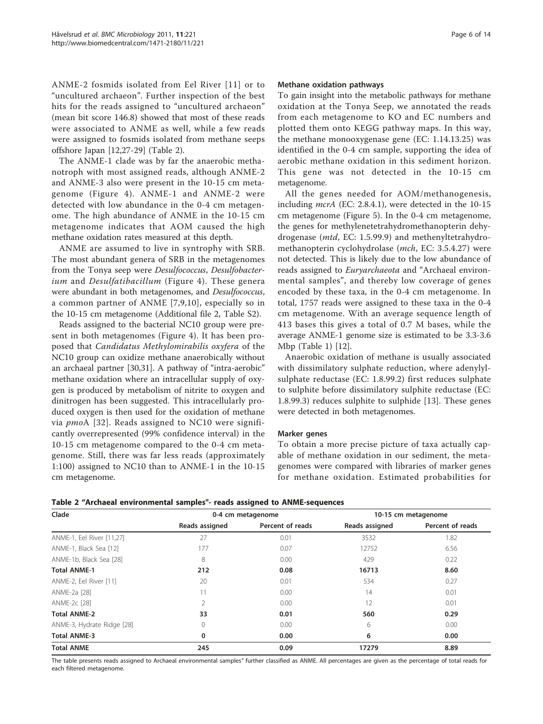ANME-2 fosmids isolated from Eel River [[11](#page-12-0)] or to "uncultured archaeon". Further inspection of the best hits for the reads assigned to "uncultured archaeon" (mean bit score 146.8) showed that most of these reads were associated to ANME as well, while a few reads were assigned to fosmids isolated from methane seeps offshore Japan [[12](#page-12-0),[27](#page-12-0)-[29\]](#page-12-0) (Table 2).

The ANME-1 clade was by far the anaerobic methanotroph with most assigned reads, although ANME-2 and ANME-3 also were present in the 10-15 cm metagenome (Figure [4\)](#page-4-0). ANME-1 and ANME-2 were detected with low abundance in the 0-4 cm metagenome. The high abundance of ANME in the 10-15 cm metagenome indicates that AOM caused the high methane oxidation rates measured at this depth.

ANME are assumed to live in syntrophy with SRB. The most abundant genera of SRB in the metagenomes from the Tonya seep were Desulfococcus, Desulfobacter-ium and Desulfatibacillum (Figure [4](#page-4-0)). These genera were abundant in both metagenomes, and Desulfococcus, a common partner of ANME [[7](#page-12-0),[9,10\]](#page-12-0), especially so in the 10-15 cm metagenome (Additional file [2,](#page-11-0) Table S2).

Reads assigned to the bacterial NC10 group were present in both metagenomes (Figure [4](#page-4-0)). It has been proposed that Candidatus Methylomirabilis oxyfera of the NC10 group can oxidize methane anaerobically without an archaeal partner [[30](#page-12-0),[31](#page-12-0)]. A pathway of "intra-aerobic" methane oxidation where an intracellular supply of oxygen is produced by metabolism of nitrite to oxygen and dinitrogen has been suggested. This intracellularly produced oxygen is then used for the oxidation of methane via *pmo*A [[32](#page-12-0)]. Reads assigned to NC10 were significantly overrepresented (99% confidence interval) in the 10-15 cm metagenome compared to the 0-4 cm metagenome. Still, there was far less reads (approximately 1:100) assigned to NC10 than to ANME-1 in the 10-15 cm metagenome.

#### Methane oxidation pathways

To gain insight into the metabolic pathways for methane oxidation at the Tonya Seep, we annotated the reads from each metagenome to KO and EC numbers and plotted them onto KEGG pathway maps. In this way, the methane monooxygenase gene (EC: 1.14.13.25) was identified in the 0-4 cm sample, supporting the idea of aerobic methane oxidation in this sediment horizon. This gene was not detected in the 10-15 cm metagenome.

All the genes needed for AOM/methanogenesis, including mcrA (EC: 2.8.4.1), were detected in the 10-15 cm metagenome (Figure [5\)](#page-6-0). In the 0-4 cm metagenome, the genes for methylenetetrahydromethanopterin dehydrogenase (mtd, EC: 1.5.99.9) and methenyltetrahydromethanopterin cyclohydrolase (mch, EC: 3.5.4.27) were not detected. This is likely due to the low abundance of reads assigned to *Euryarchaeota* and "Archaeal environmental samples", and thereby low coverage of genes encoded by these taxa, in the 0-4 cm metagenome. In total, 1757 reads were assigned to these taxa in the 0-4 cm metagenome. With an average sequence length of 413 bases this gives a total of 0.7 M bases, while the average ANME-1 genome size is estimated to be 3.3-3.6 Mbp (Table [1](#page-4-0)) [[12\]](#page-12-0).

Anaerobic oxidation of methane is usually associated with dissimilatory sulphate reduction, where adenylylsulphate reductase (EC: 1.8.99.2) first reduces sulphate to sulphite before dissimilatory sulphite reductase (EC: 1.8.99.3) reduces sulphite to sulphide [\[13](#page-12-0)]. These genes were detected in both metagenomes.

#### Marker genes

To obtain a more precise picture of taxa actually capable of methane oxidation in our sediment, the metagenomes were compared with libraries of marker genes for methane oxidation. Estimated probabilities for

| Clade                      | 0-4 cm metagenome |                  | 10-15 cm metagenome |                  |
|----------------------------|-------------------|------------------|---------------------|------------------|
|                            | Reads assigned    | Percent of reads | Reads assigned      | Percent of reads |
| ANME-1, Eel River [11,27]  | 27                | 0.01             | 3532                | 1.82             |
| ANME-1, Black Sea [12]     | 177               | 0.07             | 12752               | 6.56             |
| ANME-1b, Black Sea [28]    | 8                 | 0.00             | 429                 | 0.22             |
| <b>Total ANME-1</b>        | 212               | 0.08             | 16713               | 8.60             |
| ANME-2, Eel River [11]     | 20                | 0.01             | 534                 | 0.27             |
| ANME-2a [28]               |                   | 0.00             | 14                  | 0.01             |
| ANME-2c [28]               | 2                 | 0.00             | 12                  | 0.01             |
| <b>Total ANME-2</b>        | 33                | 0.01             | 560                 | 0.29             |
| ANME-3, Hydrate Ridge [28] | $\Omega$          | 0.00             | 6                   | 0.00             |
| <b>Total ANME-3</b>        | 0                 | 0.00             | 6                   | 0.00             |
| <b>Total ANME</b>          | 245               | 0.09             | 17279               | 8.89             |

The table presents reads assigned to Archaeal environmental samples" further classified as ANME. All percentages are given as the percentage of total reads for each filtered metagenome.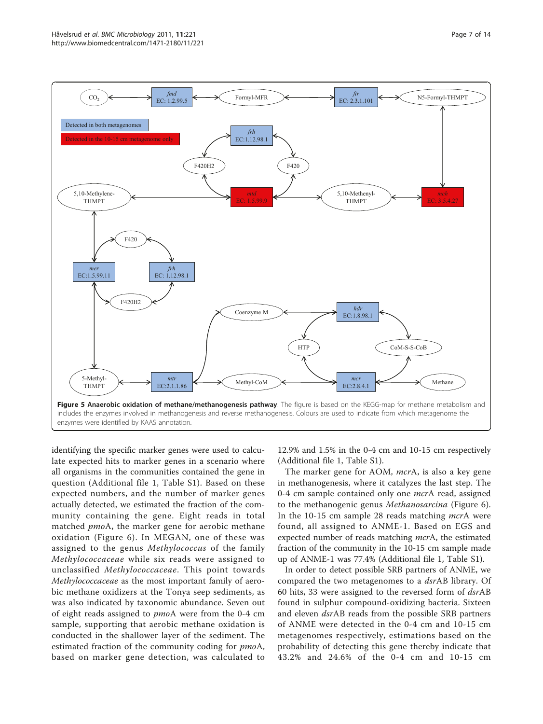<span id="page-6-0"></span>

identifying the specific marker genes were used to calculate expected hits to marker genes in a scenario where all organisms in the communities contained the gene in question (Additional file [1,](#page-11-0) Table S1). Based on these expected numbers, and the number of marker genes actually detected, we estimated the fraction of the community containing the gene. Eight reads in total matched pmoA, the marker gene for aerobic methane oxidation (Figure [6\)](#page-7-0). In MEGAN, one of these was assigned to the genus Methylococcus of the family Methylococcaceae while six reads were assigned to unclassified Methylococcaceae. This point towards Methylococcaceae as the most important family of aerobic methane oxidizers at the Tonya seep sediments, as was also indicated by taxonomic abundance. Seven out of eight reads assigned to pmoA were from the 0-4 cm sample, supporting that aerobic methane oxidation is conducted in the shallower layer of the sediment. The estimated fraction of the community coding for pmoA, based on marker gene detection, was calculated to 12.9% and 1.5% in the 0-4 cm and 10-15 cm respectively (Additional file [1](#page-11-0), Table S1).

The marker gene for AOM, mcrA, is also a key gene in methanogenesis, where it catalyzes the last step. The 0-4 cm sample contained only one *mcr*A read, assigned to the methanogenic genus Methanosarcina (Figure [6](#page-7-0)). In the 10-15 cm sample 28 reads matching *mcrA* were found, all assigned to ANME-1. Based on EGS and expected number of reads matching *mcrA*, the estimated fraction of the community in the 10-15 cm sample made up of ANME-1 was 77.4% (Additional file [1,](#page-11-0) Table S1).

In order to detect possible SRB partners of ANME, we compared the two metagenomes to a *dsrAB* library. Of 60 hits, 33 were assigned to the reversed form of dsrAB found in sulphur compound-oxidizing bacteria. Sixteen and eleven *dsr*AB reads from the possible SRB partners of ANME were detected in the 0-4 cm and 10-15 cm metagenomes respectively, estimations based on the probability of detecting this gene thereby indicate that 43.2% and 24.6% of the 0-4 cm and 10-15 cm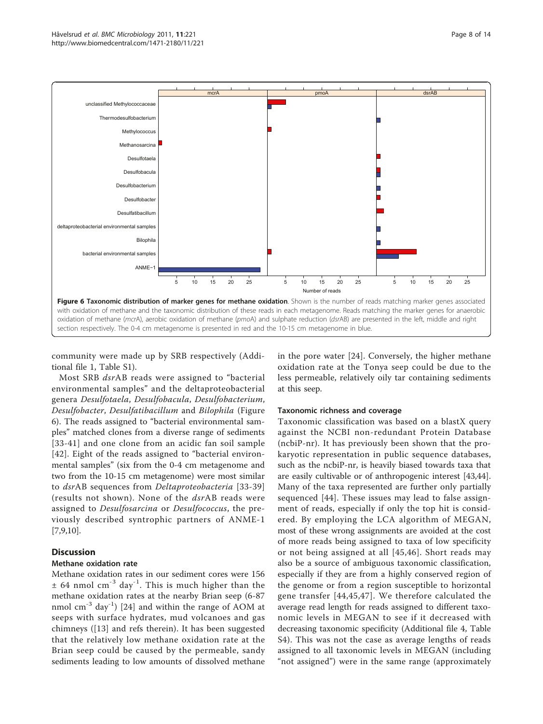<span id="page-7-0"></span>

community were made up by SRB respectively (Additional file [1](#page-11-0), Table S1).

Most SRB dsrAB reads were assigned to "bacterial environmental samples" and the deltaproteobacterial genera Desulfotaela, Desulfobacula, Desulfobacterium, Desulfobacter, Desulfatibacillum and Bilophila (Figure 6). The reads assigned to "bacterial environmental samples" matched clones from a diverse range of sediments [[33-41\]](#page-12-0) and one clone from an acidic fan soil sample [[42](#page-12-0)]. Eight of the reads assigned to "bacterial environmental samples" (six from the 0-4 cm metagenome and two from the 10-15 cm metagenome) were most similar to dsrAB sequences from Deltaproteobacteria [[33](#page-12-0)-[39](#page-12-0)] (results not shown). None of the dsrAB reads were assigned to Desulfosarcina or Desulfococcus, the previously described syntrophic partners of ANME-1 [[7,9,10\]](#page-12-0).

# **Discussion**

# Methane oxidation rate

Methane oxidation rates in our sediment cores were 156  $\pm$  64 nmol cm<sup>-3</sup> day<sup>-1</sup>. This is much higher than the methane oxidation rates at the nearby Brian seep (6-87 nmol  $\text{cm}^{-3}$  day<sup>-1</sup>) [\[24](#page-12-0)] and within the range of AOM at seeps with surface hydrates, mud volcanoes and gas chimneys ([\[13](#page-12-0)] and refs therein). It has been suggested that the relatively low methane oxidation rate at the Brian seep could be caused by the permeable, sandy sediments leading to low amounts of dissolved methane in the pore water [\[24](#page-12-0)]. Conversely, the higher methane oxidation rate at the Tonya seep could be due to the less permeable, relatively oily tar containing sediments at this seep.

#### Taxonomic richness and coverage

Taxonomic classification was based on a blastX query against the NCBI non-redundant Protein Database (ncbiP-nr). It has previously been shown that the prokaryotic representation in public sequence databases, such as the ncbiP-nr, is heavily biased towards taxa that are easily cultivable or of anthropogenic interest [\[43,44](#page-12-0)]. Many of the taxa represented are further only partially sequenced [[44](#page-12-0)]. These issues may lead to false assignment of reads, especially if only the top hit is considered. By employing the LCA algorithm of MEGAN, most of these wrong assignments are avoided at the cost of more reads being assigned to taxa of low specificity or not being assigned at all [[45](#page-12-0),[46](#page-13-0)]. Short reads may also be a source of ambiguous taxonomic classification, especially if they are from a highly conserved region of the genome or from a region susceptible to horizontal gene transfer [[44,45,](#page-12-0)[47\]](#page-13-0). We therefore calculated the average read length for reads assigned to different taxonomic levels in MEGAN to see if it decreased with decreasing taxonomic specificity (Additional file [4](#page-11-0), Table S4). This was not the case as average lengths of reads assigned to all taxonomic levels in MEGAN (including "not assigned") were in the same range (approximately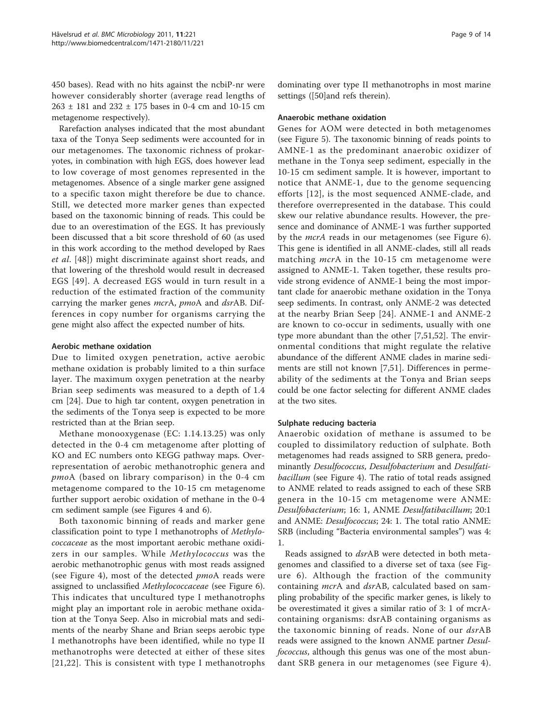450 bases). Read with no hits against the ncbiP-nr were however considerably shorter (average read lengths of 263 ± 181 and 232 ± 175 bases in 0-4 cm and 10-15 cm metagenome respectively).

Rarefaction analyses indicated that the most abundant taxa of the Tonya Seep sediments were accounted for in our metagenomes. The taxonomic richness of prokaryotes, in combination with high EGS, does however lead to low coverage of most genomes represented in the metagenomes. Absence of a single marker gene assigned to a specific taxon might therefore be due to chance. Still, we detected more marker genes than expected based on the taxonomic binning of reads. This could be due to an overestimation of the EGS. It has previously been discussed that a bit score threshold of 60 (as used in this work according to the method developed by Raes et al. [[48](#page-13-0)]) might discriminate against short reads, and that lowering of the threshold would result in decreased EGS [\[49\]](#page-13-0). A decreased EGS would in turn result in a reduction of the estimated fraction of the community carrying the marker genes mcrA, pmoA and dsrAB. Differences in copy number for organisms carrying the gene might also affect the expected number of hits.

# Aerobic methane oxidation

Due to limited oxygen penetration, active aerobic methane oxidation is probably limited to a thin surface layer. The maximum oxygen penetration at the nearby Brian seep sediments was measured to a depth of 1.4 cm [[24\]](#page-12-0). Due to high tar content, oxygen penetration in the sediments of the Tonya seep is expected to be more restricted than at the Brian seep.

Methane monooxygenase (EC: 1.14.13.25) was only detected in the 0-4 cm metagenome after plotting of KO and EC numbers onto KEGG pathway maps. Overrepresentation of aerobic methanotrophic genera and pmoA (based on library comparison) in the 0-4 cm metagenome compared to the 10-15 cm metagenome further support aerobic oxidation of methane in the 0-4 cm sediment sample (see Figures [4](#page-4-0) and [6\)](#page-7-0).

Both taxonomic binning of reads and marker gene classification point to type I methanotrophs of Methylococcaceae as the most important aerobic methane oxidizers in our samples. While Methylococcus was the aerobic methanotrophic genus with most reads assigned (see Figure [4\)](#page-4-0), most of the detected *pmoA* reads were assigned to unclassified Methylococcaceae (see Figure [6](#page-7-0)). This indicates that uncultured type I methanotrophs might play an important role in aerobic methane oxidation at the Tonya Seep. Also in microbial mats and sediments of the nearby Shane and Brian seeps aerobic type I methanotrophs have been identified, while no type II methanotrophs were detected at either of these sites [[21](#page-12-0),[22](#page-12-0)]. This is consistent with type I methanotrophs

dominating over type II methanotrophs in most marine settings ([\[50\]](#page-13-0)and refs therein).

#### Anaerobic methane oxidation

Genes for AOM were detected in both metagenomes (see Figure [5\)](#page-6-0). The taxonomic binning of reads points to AMNE-1 as the predominant anaerobic oxidizer of methane in the Tonya seep sediment, especially in the 10-15 cm sediment sample. It is however, important to notice that ANME-1, due to the genome sequencing efforts [[12\]](#page-12-0), is the most sequenced ANME-clade, and therefore overrepresented in the database. This could skew our relative abundance results. However, the presence and dominance of ANME-1 was further supported by the *mcrA* reads in our metagenomes (see Figure [6](#page-7-0)). This gene is identified in all ANME-clades, still all reads matching *mcr*A in the 10-15 cm metagenome were assigned to ANME-1. Taken together, these results provide strong evidence of ANME-1 being the most important clade for anaerobic methane oxidation in the Tonya seep sediments. In contrast, only ANME-2 was detected at the nearby Brian Seep [[24](#page-12-0)]. ANME-1 and ANME-2 are known to co-occur in sediments, usually with one type more abundant than the other [\[7](#page-12-0),[51](#page-13-0),[52](#page-13-0)]. The environmental conditions that might regulate the relative abundance of the different ANME clades in marine sediments are still not known [\[7,](#page-12-0)[51\]](#page-13-0). Differences in permeability of the sediments at the Tonya and Brian seeps could be one factor selecting for different ANME clades at the two sites.

#### Sulphate reducing bacteria

Anaerobic oxidation of methane is assumed to be coupled to dissimilatory reduction of sulphate. Both metagenomes had reads assigned to SRB genera, predominantly Desulfococcus, Desulfobacterium and Desulfati-bacillum (see Figure [4\)](#page-4-0). The ratio of total reads assigned to ANME related to reads assigned to each of these SRB genera in the 10-15 cm metagenome were ANME: Desulfobacterium; 16: 1, ANME Desulfatibacillum; 20:1 and ANME: Desulfococcus; 24: 1. The total ratio ANME: SRB (including "Bacteria environmental samples") was 4: 1.

Reads assigned to dsrAB were detected in both metagenomes and classified to a diverse set of taxa (see Figure [6\)](#page-7-0). Although the fraction of the community containing *mcrA* and *dsrAB*, calculated based on sampling probability of the specific marker genes, is likely to be overestimated it gives a similar ratio of 3: 1 of mcrAcontaining organisms: dsrAB containing organisms as the taxonomic binning of reads. None of our dsrAB reads were assigned to the known ANME partner Desulfococcus, although this genus was one of the most abundant SRB genera in our metagenomes (see Figure [4\)](#page-4-0).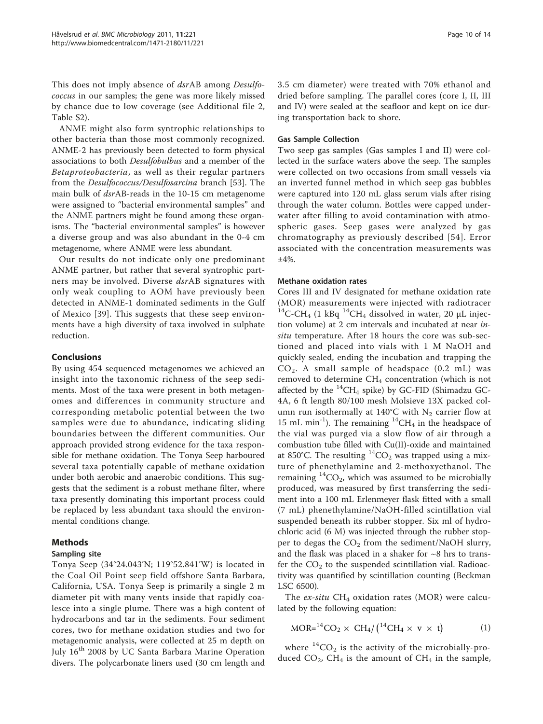This does not imply absence of dsrAB among Desulfococcus in our samples; the gene was more likely missed by chance due to low coverage (see Additional file [2](#page-11-0), Table S2).

ANME might also form syntrophic relationships to other bacteria than those most commonly recognized. ANME-2 has previously been detected to form physical associations to both Desulfobulbus and a member of the Betaproteobacteria, as well as their regular partners from the Desulfococcus/Desulfosarcina branch [\[53](#page-13-0)]. The main bulk of dsrAB-reads in the 10-15 cm metagenome were assigned to "bacterial environmental samples" and the ANME partners might be found among these organisms. The "bacterial environmental samples" is however a diverse group and was also abundant in the 0-4 cm metagenome, where ANME were less abundant.

Our results do not indicate only one predominant ANME partner, but rather that several syntrophic partners may be involved. Diverse dsrAB signatures with only weak coupling to AOM have previously been detected in ANME-1 dominated sediments in the Gulf of Mexico [[39\]](#page-12-0). This suggests that these seep environments have a high diversity of taxa involved in sulphate reduction.

# Conclusions

By using 454 sequenced metagenomes we achieved an insight into the taxonomic richness of the seep sediments. Most of the taxa were present in both metagenomes and differences in community structure and corresponding metabolic potential between the two samples were due to abundance, indicating sliding boundaries between the different communities. Our approach provided strong evidence for the taxa responsible for methane oxidation. The Tonya Seep harboured several taxa potentially capable of methane oxidation under both aerobic and anaerobic conditions. This suggests that the sediment is a robust methane filter, where taxa presently dominating this important process could be replaced by less abundant taxa should the environmental conditions change.

# Methods

# Sampling site

Tonya Seep (34°24.043'N; 119°52.841'W) is located in the Coal Oil Point seep field offshore Santa Barbara, California, USA. Tonya Seep is primarily a single 2 m diameter pit with many vents inside that rapidly coalesce into a single plume. There was a high content of hydrocarbons and tar in the sediments. Four sediment cores, two for methane oxidation studies and two for metagenomic analysis, were collected at 25 m depth on July 16<sup>th</sup> 2008 by UC Santa Barbara Marine Operation divers. The polycarbonate liners used (30 cm length and 3.5 cm diameter) were treated with 70% ethanol and dried before sampling. The parallel cores (core I, II, III and IV) were sealed at the seafloor and kept on ice during transportation back to shore.

#### Gas Sample Collection

Two seep gas samples (Gas samples I and II) were collected in the surface waters above the seep. The samples were collected on two occasions from small vessels via an inverted funnel method in which seep gas bubbles were captured into 120 mL glass serum vials after rising through the water column. Bottles were capped underwater after filling to avoid contamination with atmospheric gases. Seep gases were analyzed by gas chromatography as previously described [\[54](#page-13-0)]. Error associated with the concentration measurements was ±4%.

# Methane oxidation rates

Cores III and IV designated for methane oxidation rate (MOR) measurements were injected with radiotracer  $14$ C-CH<sub>4</sub> (1 kBq  $14$ CH<sub>4</sub> dissolved in water, 20 µL injection volume) at 2 cm intervals and incubated at near insitu temperature. After 18 hours the core was sub-sectioned and placed into vials with 1 M NaOH and quickly sealed, ending the incubation and trapping the  $CO<sub>2</sub>$ . A small sample of headspace  $(0.2 \text{ mL})$  was removed to determine CH<sub>4</sub> concentration (which is not affected by the  ${}^{14}CH_4$  spike) by GC-FID (Shimadzu GC-4A, 6 ft length 80/100 mesh Molsieve 13X packed column run isothermally at 140°C with  $N_2$  carrier flow at 15 mL min<sup>-1</sup>). The remaining <sup>14</sup>CH<sub>4</sub> in the headspace of the vial was purged via a slow flow of air through a combustion tube filled with Cu(II)-oxide and maintained at 850°C. The resulting  ${}^{14}CO_2$  was trapped using a mixture of phenethylamine and 2-methoxyethanol. The remaining  ${}^{14}CO_2$ , which was assumed to be microbially produced, was measured by first transferring the sediment into a 100 mL Erlenmeyer flask fitted with a small (7 mL) phenethylamine/NaOH-filled scintillation vial suspended beneath its rubber stopper. Six ml of hydrochloric acid (6 M) was injected through the rubber stopper to degas the  $CO<sub>2</sub>$  from the sediment/NaOH slurry, and the flask was placed in a shaker for  $\sim$ 8 hrs to transfer the  $CO<sub>2</sub>$  to the suspended scintillation vial. Radioactivity was quantified by scintillation counting (Beckman LSC 6500).

The  $ex\text{-}situ$  CH<sub>4</sub> oxidation rates (MOR) were calculated by the following equation:

$$
MOR = {}^{14}CO_2 \times CH_4 / ({}^{14}CH_4 \times v \times t)
$$
 (1)

where  ${}^{14}CO_2$  is the activity of the microbially-produced  $CO_2$ , CH<sub>4</sub> is the amount of CH<sub>4</sub> in the sample,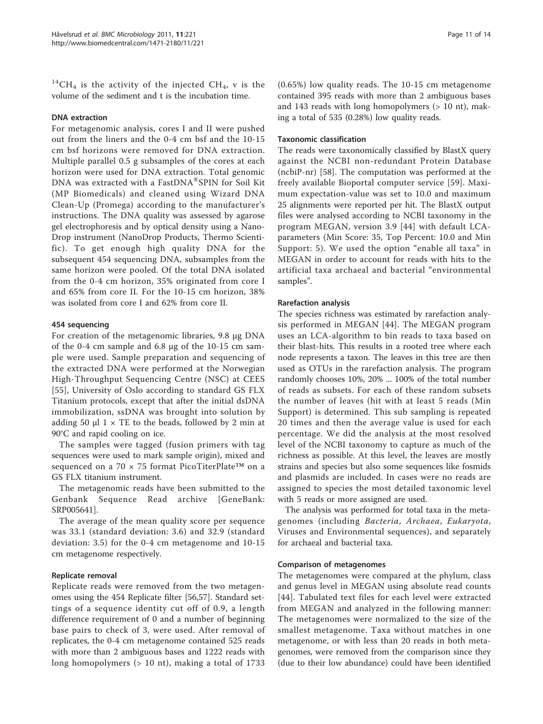$^{14}$ CH<sub>4</sub> is the activity of the injected CH<sub>4</sub>, v is the volume of the sediment and t is the incubation time.

#### DNA extraction

For metagenomic analysis, cores I and II were pushed out from the liners and the 0-4 cm bsf and the 10-15 cm bsf horizons were removed for DNA extraction. Multiple parallel 0.5 g subsamples of the cores at each horizon were used for DNA extraction. Total genomic DNA was extracted with a FastDNA®SPIN for Soil Kit (MP Biomedicals) and cleaned using Wizard DNA Clean-Up (Promega) according to the manufacturer's instructions. The DNA quality was assessed by agarose gel electrophoresis and by optical density using a Nano-Drop instrument (NanoDrop Products, Thermo Scientific). To get enough high quality DNA for the subsequent 454 sequencing DNA, subsamples from the same horizon were pooled. Of the total DNA isolated from the 0-4 cm horizon, 35% originated from core I and 65% from core II. For the 10-15 cm horizon, 38% was isolated from core I and 62% from core II.

#### 454 sequencing

For creation of the metagenomic libraries, 9.8 μg DNA of the 0-4 cm sample and 6.8 μg of the 10-15 cm sample were used. Sample preparation and sequencing of the extracted DNA were performed at the Norwegian High-Throughput Sequencing Centre (NSC) at CEES [[55](#page-13-0)], University of Oslo according to standard GS FLX Titanium protocols, except that after the initial dsDNA immobilization, ssDNA was brought into solution by adding 50  $\mu$ l 1 × TE to the beads, followed by 2 min at 90°C and rapid cooling on ice.

The samples were tagged (fusion primers with tag sequences were used to mark sample origin), mixed and sequenced on a 70 × 75 format PicoTiterPlate™ on a GS FLX titanium instrument.

The metagenomic reads have been submitted to the Genbank Sequence Read archive [GeneBank: [SRP005641](http://www.ncbi.nih.gov/entrez/query.fcgi?db=Nucleotide&cmd=search&term=SRP005641)].

The average of the mean quality score per sequence was 33.1 (standard deviation: 3.6) and 32.9 (standard deviation: 3.5) for the 0-4 cm metagenome and 10-15 cm metagenome respectively.

#### Replicate removal

Replicate reads were removed from the two metagenomes using the 454 Replicate filter [[56,57\]](#page-13-0). Standard settings of a sequence identity cut off of 0.9, a length difference requirement of 0 and a number of beginning base pairs to check of 3, were used. After removal of replicates, the 0-4 cm metagenome contained 525 reads with more than 2 ambiguous bases and 1222 reads with long homopolymers (> 10 nt), making a total of 1733

(0.65%) low quality reads. The 10-15 cm metagenome contained 395 reads with more than 2 ambiguous bases and 143 reads with long homopolymers (> 10 nt), making a total of 535 (0.28%) low quality reads.

#### Taxonomic classification

The reads were taxonomically classified by BlastX query against the NCBI non-redundant Protein Database (ncbiP-nr) [\[58](#page-13-0)]. The computation was performed at the freely available Bioportal computer service [\[59](#page-13-0)]. Maximum expectation-value was set to 10.0 and maximum 25 alignments were reported per hit. The BlastX output files were analysed according to NCBI taxonomy in the program MEGAN, version 3.9 [\[44\]](#page-12-0) with default LCAparameters (Min Score: 35, Top Percent: 10.0 and Min Support: 5). We used the option "enable all taxa" in MEGAN in order to account for reads with hits to the artificial taxa archaeal and bacterial "environmental samples".

#### Rarefaction analysis

The species richness was estimated by rarefaction analysis performed in MEGAN [\[44\]](#page-12-0). The MEGAN program uses an LCA-algorithm to bin reads to taxa based on their blast-hits. This results in a rooted tree where each node represents a taxon. The leaves in this tree are then used as OTUs in the rarefaction analysis. The program randomly chooses 10%, 20% ... 100% of the total number of reads as subsets. For each of these random subsets the number of leaves (hit with at least 5 reads (Min Support) is determined. This sub sampling is repeated 20 times and then the average value is used for each percentage. We did the analysis at the most resolved level of the NCBI taxonomy to capture as much of the richness as possible. At this level, the leaves are mostly strains and species but also some sequences like fosmids and plasmids are included. In cases were no reads are assigned to species the most detailed taxonomic level with 5 reads or more assigned are used.

The analysis was performed for total taxa in the metagenomes (including Bacteria, Archaea, Eukaryota, Viruses and Environmental sequences), and separately for archaeal and bacterial taxa.

#### Comparison of metagenomes

The metagenomes were compared at the phylum, class and genus level in MEGAN using absolute read counts [[44](#page-12-0)]. Tabulated text files for each level were extracted from MEGAN and analyzed in the following manner: The metagenomes were normalized to the size of the smallest metagenome. Taxa without matches in one metagenome, or with less than 20 reads in both metagenomes, were removed from the comparison since they (due to their low abundance) could have been identified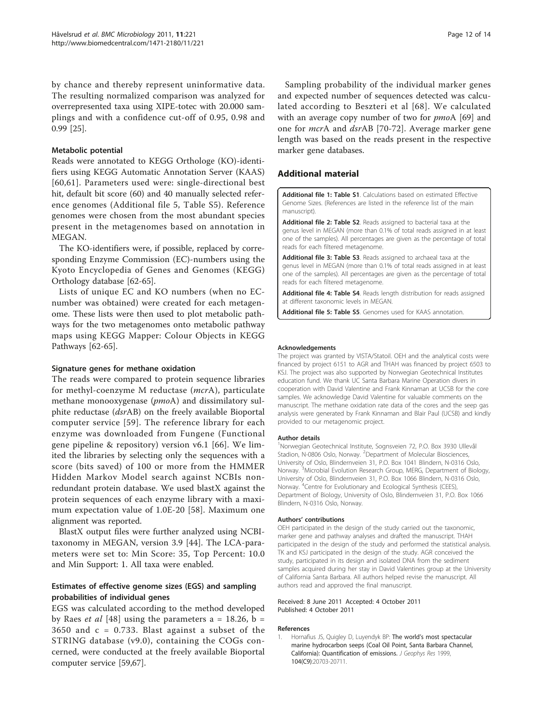<span id="page-11-0"></span>by chance and thereby represent uninformative data. The resulting normalized comparison was analyzed for overrepresented taxa using XIPE-totec with 20.000 samplings and with a confidence cut-off of 0.95, 0.98 and 0.99 [[25\]](#page-12-0).

# Metabolic potential

Reads were annotated to KEGG Orthologe (KO)-identifiers using KEGG Automatic Annotation Server (KAAS) [[60](#page-13-0),[61](#page-13-0)]. Parameters used were: single-directional best hit, default bit score (60) and 40 manually selected reference genomes (Additional file 5, Table S5). Reference genomes were chosen from the most abundant species present in the metagenomes based on annotation in MEGAN.

The KO-identifiers were, if possible, replaced by corresponding Enzyme Commission (EC)-numbers using the Kyoto Encyclopedia of Genes and Genomes (KEGG) Orthology database [[62](#page-13-0)-[65\]](#page-13-0).

Lists of unique EC and KO numbers (when no ECnumber was obtained) were created for each metagenome. These lists were then used to plot metabolic pathways for the two metagenomes onto metabolic pathway maps using KEGG Mapper: Colour Objects in KEGG Pathways [[62-65\]](#page-13-0).

#### Signature genes for methane oxidation

The reads were compared to protein sequence libraries for methyl-coenzyme M reductase (mcrA), particulate methane monooxygenase (pmoA) and dissimilatory sulphite reductase (dsrAB) on the freely available Bioportal computer service [[59](#page-13-0)]. The reference library for each enzyme was downloaded from Fungene (Functional gene pipeline & repository) version v6.1 [[66\]](#page-13-0). We limited the libraries by selecting only the sequences with a score (bits saved) of 100 or more from the HMMER Hidden Markov Model search against NCBIs nonredundant protein database. We used blastX against the protein sequences of each enzyme library with a maximum expectation value of 1.0E-20 [\[58\]](#page-13-0). Maximum one alignment was reported.

BlastX output files were further analyzed using NCBItaxonomy in MEGAN, version 3.9 [\[44](#page-12-0)]. The LCA-parameters were set to: Min Score: 35, Top Percent: 10.0 and Min Support: 1. All taxa were enabled.

# Estimates of effective genome sizes (EGS) and sampling probabilities of individual genes

EGS was calculated according to the method developed by Raes *et al* [\[48](#page-13-0)] using the parameters  $a = 18.26$ ,  $b =$ 3650 and  $c = 0.733$ . Blast against a subset of the STRING database (v9.0), containing the COGs concerned, were conducted at the freely available Bioportal computer service [\[59,67\]](#page-13-0).

Sampling probability of the individual marker genes and expected number of sequences detected was calculated according to Beszteri et al [[68\]](#page-13-0). We calculated with an average copy number of two for *pmoA* [\[69](#page-13-0)] and one for mcrA and dsrAB [\[70](#page-13-0)-[72](#page-13-0)]. Average marker gene length was based on the reads present in the respective marker gene databases.

# Additional material

[Additional file 1: T](http://www.biomedcentral.com/content/supplementary/1471-2180-11-221-S1.DOC)able S1. Calculations based on estimated Effective Genome Sizes. (References are listed in the reference list of the main manuscript).

[Additional file 2: T](http://www.biomedcentral.com/content/supplementary/1471-2180-11-221-S2.DOC)able S2. Reads assigned to bacterial taxa at the genus level in MEGAN (more than 0.1% of total reads assigned in at least one of the samples). All percentages are given as the percentage of total reads for each filtered metagenome.

[Additional file 3: T](http://www.biomedcentral.com/content/supplementary/1471-2180-11-221-S3.DOC)able S3. Reads assigned to archaeal taxa at the genus level in MEGAN (more than 0.1% of total reads assigned in at least one of the samples). All percentages are given as the percentage of total reads for each filtered metagenome.

[Additional file 4: T](http://www.biomedcentral.com/content/supplementary/1471-2180-11-221-S4.DOC)able S4. Reads length distribution for reads assigned at different taxonomic levels in MEGAN.

[Additional file 5: T](http://www.biomedcentral.com/content/supplementary/1471-2180-11-221-S5.DOC)able S5. Genomes used for KAAS annotation.

#### Acknowledgements

The project was granted by VISTA/Statoil. OEH and the analytical costs were financed by project 6151 to AGR and THAH was financed by project 6503 to KSJ. The project was also supported by Norwegian Geotechnical Institutes education fund. We thank UC Santa Barbara Marine Operation divers in cooperation with David Valentine and Frank Kinnaman at UCSB for the core samples. We acknowledge David Valentine for valuable comments on the manuscript. The methane oxidation rate data of the cores and the seep gas analysis were generated by Frank Kinnaman and Blair Paul (UCSB) and kindly provided to our metagenomic project.

#### Author details

<sup>1</sup>Norwegian Geotechnical Institute, Sognsveien 72, P.O. Box 3930 Ullevål Stadion, N-0806 Oslo, Norway. <sup>2</sup>Department of Molecular Biosciences, University of Oslo, Blindernveien 31, P.O. Box 1041 Blindern, N-0316 Oslo, Norway. <sup>3</sup>Microbial Evolution Research Group, MERG, Department of Biology, University of Oslo, Blindernveien 31, P.O. Box 1066 Blindern, N-0316 Oslo, Norway. <sup>4</sup>Centre for Evolutionary and Ecological Synthesis (CEES), Department of Biology, University of Oslo, Blindernveien 31, P.O. Box 1066 Blindern, N-0316 Oslo, Norway.

#### Authors' contributions

OEH participated in the design of the study carried out the taxonomic, marker gene and pathway analyses and drafted the manuscript. THAH participated in the design of the study and performed the statistical analysis. TK and KSJ participated in the design of the study. AGR conceived the study, participated in its design and isolated DNA from the sediment samples acquired during her stay in David Valentines group at the University of California Santa Barbara. All authors helped revise the manuscript. All authors read and approved the final manuscript.

#### Received: 8 June 2011 Accepted: 4 October 2011 Published: 4 October 2011

#### References

1. Hornafius JS, Quigley D, Luyendyk BP: The world's most spectacular marine hydrocarbon seeps (Coal Oil Point, Santa Barbara Channel, California): Quantification of emissions. J Geophys Res 1999, 104(C9):20703-20711.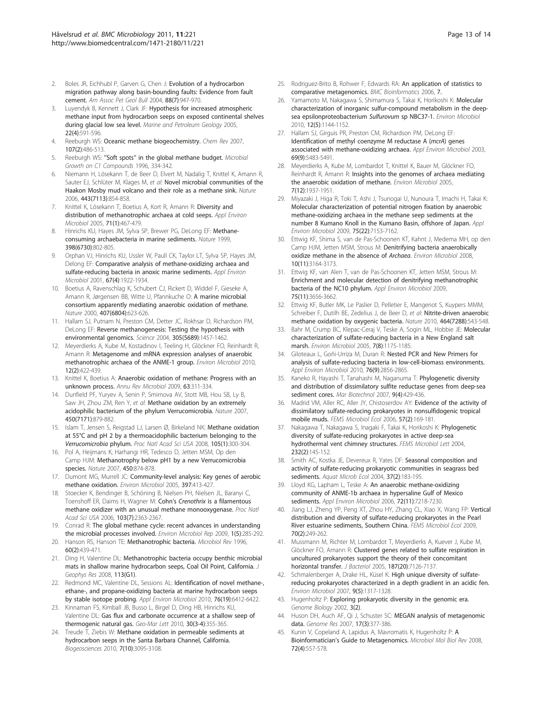- <span id="page-12-0"></span>2. Boles JR, Eichhubl P, Garven G, Chen J: Evolution of a hydrocarbon migration pathway along basin-bounding faults: Evidence from fault cement. Am Assoc Pet Geol Bull 2004, 88(7):947-970.
- 3. Luyendyk B, Kennett J, Clark JF: Hypothesis for increased atmospheric methane input from hydrocarbon seeps on exposed continental shelves during glacial low sea level. Marine and Petroleum Geology 2005, 22(4):591-596.
- 4. Reeburgh WS: [Oceanic methane biogeochemistry.](http://www.ncbi.nlm.nih.gov/pubmed/17261072?dopt=Abstract) Chem Rev 2007, 107(2):486-513.
- 5. Reeburgh WS: "Soft spots" in the global methane budget. Microbial Growth on C1 Compounds 1996, 334-342.
- 6. Niemann H, Lösekann T, de Beer D, Elvert M, Nadalig T, Knittel K, Amann R, Sauter EJ, Schlüter M, Klages M, et al: [Novel microbial communities of the](http://www.ncbi.nlm.nih.gov/pubmed/17051217?dopt=Abstract) [Haakon Mosby mud volcano and their role as a methane sink.](http://www.ncbi.nlm.nih.gov/pubmed/17051217?dopt=Abstract) Nature 2006, 443(7113):854-858.
- 7. Knittel K, Lösekann T, Boetius A, Kort R, Amann R: [Diversity and](http://www.ncbi.nlm.nih.gov/pubmed/15640223?dopt=Abstract) [distribution of methanotrophic archaea at cold seeps.](http://www.ncbi.nlm.nih.gov/pubmed/15640223?dopt=Abstract) Appl Environ Microbiol 2005, 71(1):467-479.
- Hinrichs KU, Hayes JM, Sylva SP, Brewer PG, DeLong EF: [Methane](http://www.ncbi.nlm.nih.gov/pubmed/10235261?dopt=Abstract)[consuming archaebacteria in marine sediments.](http://www.ncbi.nlm.nih.gov/pubmed/10235261?dopt=Abstract) Nature 1999, 398(6730):802-805.
- Orphan VJ, Hinrichs KU, Ussler W, Paull CK, Taylor LT, Sylva SP, Hayes JM, Delong EF: [Comparative analysis of methane-oxidizing archaea and](http://www.ncbi.nlm.nih.gov/pubmed/11282650?dopt=Abstract) [sulfate-reducing bacteria in anoxic marine sediments.](http://www.ncbi.nlm.nih.gov/pubmed/11282650?dopt=Abstract) Appl Environ Microbiol 2001, 67(4):1922-1934.
- 10. Boetius A, Ravenschlag K, Schubert CJ, Rickert D, Widdel F, Gieseke A, Amann R, Jørgensen BB, Witte U, Pfannkuche O: [A marine microbial](http://www.ncbi.nlm.nih.gov/pubmed/11034209?dopt=Abstract) [consortium apparently mediating anaerobic oxidation of methane.](http://www.ncbi.nlm.nih.gov/pubmed/11034209?dopt=Abstract) Nature 2000, 407(6804):623-626.
- 11. Hallam SJ, Putnam N, Preston CM, Detter JC, Rokhsar D, Richardson PM, DeLong EF: [Reverse methanogenesis: Testing the hypothesis with](http://www.ncbi.nlm.nih.gov/pubmed/15353801?dopt=Abstract) [environmental genomics.](http://www.ncbi.nlm.nih.gov/pubmed/15353801?dopt=Abstract) Science 2004, 305(5689):1457-1462.
- 12. Meyerdierks A, Kube M, Kostadinov I, Teeling H, Glöckner FO, Reinhardt R, Amann R: [Metagenome and mRNA expression analyses of anaerobic](http://www.ncbi.nlm.nih.gov/pubmed/19878267?dopt=Abstract) [methanotrophic archaea of the ANME-1 group.](http://www.ncbi.nlm.nih.gov/pubmed/19878267?dopt=Abstract) Environ Microbiol 2010, 12(2):422-439.
- 13. Knittel K, Boetius A: [Anaerobic oxidation of methane: Progress with an](http://www.ncbi.nlm.nih.gov/pubmed/19575572?dopt=Abstract) [unknown process.](http://www.ncbi.nlm.nih.gov/pubmed/19575572?dopt=Abstract) Annu Rev Microbiol 2009, 63:311-334.
- 14. Dunfield PF, Yuryev A, Senin P, Smirnova AV, Stott MB, Hou SB, Ly B, Saw JH, Zhou ZM, Ren Y, et al: [Methane oxidation by an extremely](http://www.ncbi.nlm.nih.gov/pubmed/18004300?dopt=Abstract) [acidophilic bacterium of the phylum Verrucomicrobia.](http://www.ncbi.nlm.nih.gov/pubmed/18004300?dopt=Abstract) Nature 2007, 450(7171):879-882.
- 15. Islam T, Jensen S, Reigstad LJ, Larsen Ø, Birkeland NK: [Methane oxidation](http://www.ncbi.nlm.nih.gov/pubmed/18172218?dopt=Abstract) [at 55°C and pH 2 by a thermoacidophilic bacterium belonging to the](http://www.ncbi.nlm.nih.gov/pubmed/18172218?dopt=Abstract) Verrucomicrobia [phylum.](http://www.ncbi.nlm.nih.gov/pubmed/18172218?dopt=Abstract) Proc Natl Acad Sci USA 2008, 105(1):300-304.
- 16. Pol A, Heijmans K, Harhangi HR, Tedesco D, Jetten MSM, Op den Camp HJM: [Methanotrophy below pH1 by a new Verrucomicrobia](http://www.ncbi.nlm.nih.gov/pubmed/18004305?dopt=Abstract) [species.](http://www.ncbi.nlm.nih.gov/pubmed/18004305?dopt=Abstract) Nature 2007, 450:874-878.
- 17. Dumont MG, Murrell JC: Community-level analysis: Key genes of aerobic methane oxidation. Environ Microbiol 2005, 397:413-427.
- 18. Stoecker K, Bendinger B, Schöning B, Nielsen PH, Nielsen JL, Baranyi C, Toenshoff ER, Daims H, Wagner M: Cohn'<sup>s</sup> Crenothrix [is a filamentous](http://www.ncbi.nlm.nih.gov/pubmed/16452171?dopt=Abstract) [methane oxidizer with an unusual methane monooxygenase.](http://www.ncbi.nlm.nih.gov/pubmed/16452171?dopt=Abstract) Proc Natl Acad Sci USA 2006, 103(7):2363-2367.
- 19. Conrad R: The global methane cycle: recent advances in understanding the microbial processes involved. Environ Microbiol Rep 2009, 1(5):285-292.
- 20. Hanson RS, Hanson TE: [Methanotrophic bacteria.](http://www.ncbi.nlm.nih.gov/pubmed/8801441?dopt=Abstract) Microbiol Rev 1996, 60(2):439-471.
- 21. Ding H, Valentine DL: Methanotrophic bacteria occupy benthic microbial mats in shallow marine hydrocarbon seeps, Coal Oil Point, California. J Geophys Res 2008, 113(G1).
- 22. Redmond MC, Valentine DL, Sessions AL: [Identification of novel methane-,](http://www.ncbi.nlm.nih.gov/pubmed/20675448?dopt=Abstract) [ethane-, and propane-oxidizing bacteria at marine hydrocarbon seeps](http://www.ncbi.nlm.nih.gov/pubmed/20675448?dopt=Abstract) [by stable isotope probing.](http://www.ncbi.nlm.nih.gov/pubmed/20675448?dopt=Abstract) Appl Environ Microbiol 2010, 76(19):6412-6422.
- 23. Kinnaman FS, Kimball JB, Busso L, Birgel D, Ding HB, Hinrichs KU, Valentine DL: Gas flux and carbonate occurrence at a shallow seep of thermogenic natural gas. Geo-Mar Lett 2010, 30(3-4):355-365.
- Treude T, Ziebis W: Methane oxidation in permeable sediments at hydrocarbon seeps in the Santa Barbara Channel, California. Biogeosciences 2010, 7(10):3095-3108.
- 25. Rodriguez-Brito B, Rohwer F, Edwards RA: An application of statistics to comparative metagenomics. BMC Bioinformatics 2006, 7.
- 26. Yamamoto M, Nakagawa S, Shimamura S, Takai K, Horikoshi K: [Molecular](http://www.ncbi.nlm.nih.gov/pubmed/20132283?dopt=Abstract) [characterization of inorganic sulfur-compound metabolism in the deep](http://www.ncbi.nlm.nih.gov/pubmed/20132283?dopt=Abstract)[sea epsilonproteobacterium](http://www.ncbi.nlm.nih.gov/pubmed/20132283?dopt=Abstract) Sulfurovum sp NBC37-1. Environ Microbiol 2010, 12(5):1144-1152.
- 27. Hallam SJ, Girguis PR, Preston CM, Richardson PM, DeLong EF: [Identification of methyl coenzyme M reductase A \(](http://www.ncbi.nlm.nih.gov/pubmed/12957937?dopt=Abstract)mcrA) genes associated [with methane-oxidizing archaea.](http://www.ncbi.nlm.nih.gov/pubmed/12957937?dopt=Abstract) Appl Environ Microbiol 2003, 69(9):5483-5491.
- 28. Meyerdierks A, Kube M, Lombardot T, Knittel K, Bauer M, Glöckner FO, Reinhardt R, Amann R: [Insights into the genomes of archaea mediating](http://www.ncbi.nlm.nih.gov/pubmed/16309392?dopt=Abstract) [the anaerobic oxidation of methane.](http://www.ncbi.nlm.nih.gov/pubmed/16309392?dopt=Abstract) Environ Microbiol 2005, 7(12):1937-1951.
- 29. Miyazaki J, Higa R, Toki T, Ashi J, Tsunogai U, Nunoura T, Imachi H, Takai K: [Molecular characterization of potential nitrogen fixation by anaerobic](http://www.ncbi.nlm.nih.gov/pubmed/19783748?dopt=Abstract) [methane-oxidizing archaea in the methane seep sediments at the](http://www.ncbi.nlm.nih.gov/pubmed/19783748?dopt=Abstract) [number 8 Kumano Knoll in the Kumano Basin, offshore of Japan.](http://www.ncbi.nlm.nih.gov/pubmed/19783748?dopt=Abstract) Appl Environ Microbiol 2009, 75(22):7153-7162.
- 30. Ettwig KF, Shima S, van de Pas-Schoonen KT, Kahnt J, Medema MH, op den Camp HJM, Jetten MSM, Strous M: [Denitrifying bacteria anaerobically](http://www.ncbi.nlm.nih.gov/pubmed/18721142?dopt=Abstract) [oxidize methane in the absence of](http://www.ncbi.nlm.nih.gov/pubmed/18721142?dopt=Abstract) Archaea. Environ Microbiol 2008, 10(11):3164-3173.
- 31. Ettwig KF, van Alen T, van de Pas-Schoonen KT, Jetten MSM, Strous M: [Enrichment and molecular detection of denitrifying methanotrophic](http://www.ncbi.nlm.nih.gov/pubmed/19329658?dopt=Abstract) [bacteria of the NC10 phylum.](http://www.ncbi.nlm.nih.gov/pubmed/19329658?dopt=Abstract) Appl Environ Microbiol 2009, 75(11):3656-3662.
- 32. Ettwig KF, Butler MK, Le Paslier D, Pelletier E, Mangenot S, Kuypers MMM, Schreiber F, Dutilh BE, Zedelius J, de Beer D, et al: [Nitrite-driven anaerobic](http://www.ncbi.nlm.nih.gov/pubmed/20336137?dopt=Abstract) [methane oxidation by oxygenic bacteria.](http://www.ncbi.nlm.nih.gov/pubmed/20336137?dopt=Abstract) Nature 2010, 464(7288):543-548.
- 33. Bahr M, Crump BC, Klepac-Ceraj V, Teske A, Sogin ML, Hobbie JE: [Molecular](http://www.ncbi.nlm.nih.gov/pubmed/16011754?dopt=Abstract) [characterization of sulfate-reducing bacteria in a New England salt](http://www.ncbi.nlm.nih.gov/pubmed/16011754?dopt=Abstract) [marsh.](http://www.ncbi.nlm.nih.gov/pubmed/16011754?dopt=Abstract) Environ Microbiol 2005, 7(8):1175-1185.
- 34. Giloteaux L, Goñi-Urriza M, Duran R: [Nested PCR and New Primers for](http://www.ncbi.nlm.nih.gov/pubmed/20228118?dopt=Abstract) [analysis of sulfate-reducing bacteria in low-cell-biomass environments.](http://www.ncbi.nlm.nih.gov/pubmed/20228118?dopt=Abstract) Appl Environ Microbiol 2010, 76(9):2856-2865.
- 35. Kaneko R, Hayashi T, Tanahashi M, Naganuma T: [Phylogenetic diversity](http://www.ncbi.nlm.nih.gov/pubmed/17497195?dopt=Abstract) [and distribution of dissimilatory sulfite reductase genes from deep-sea](http://www.ncbi.nlm.nih.gov/pubmed/17497195?dopt=Abstract) [sediment cores.](http://www.ncbi.nlm.nih.gov/pubmed/17497195?dopt=Abstract) Mar Biotechnol 2007, 9(4):429-436.
- 36. Madrid VM, Aller RC, Aller JY, Chistoserdov AY: [Evidence of the activity of](http://www.ncbi.nlm.nih.gov/pubmed/16867136?dopt=Abstract) [dissimilatory sulfate-reducing prokaryotes in nonsulfidogenic tropical](http://www.ncbi.nlm.nih.gov/pubmed/16867136?dopt=Abstract) [mobile muds.](http://www.ncbi.nlm.nih.gov/pubmed/16867136?dopt=Abstract) FEMS Microbiol Ecol 2006, 57(2):169-181.
- 37. Nakagawa T, Nakagawa S, Inagaki F, Takai K, Horikoshi K: [Phylogenetic](http://www.ncbi.nlm.nih.gov/pubmed/15033233?dopt=Abstract) [diversity of sulfate-reducing prokaryotes in active deep-sea](http://www.ncbi.nlm.nih.gov/pubmed/15033233?dopt=Abstract) [hydrothermal vent chimney structures.](http://www.ncbi.nlm.nih.gov/pubmed/15033233?dopt=Abstract) FEMS Microbiol Lett 2004, 232(2):145-152.
- 38. Smith AC, Kostka JE, Devereux R, Yates DF: Seasonal composition and activity of sulfate-reducing prokaryotic communities in seagrass bed sediments. Aquat Microb Ecol 2004, 37(2):183-195.
- 39. Lloyd KG, Lapham L, Teske A: [An anaerobic methane-oxidizing](http://www.ncbi.nlm.nih.gov/pubmed/16980428?dopt=Abstract) [community of ANME-1b archaea in hypersaline Gulf of Mexico](http://www.ncbi.nlm.nih.gov/pubmed/16980428?dopt=Abstract) [sediments.](http://www.ncbi.nlm.nih.gov/pubmed/16980428?dopt=Abstract) Appl Environ Microbiol 2006, 72(11):7218-7230.
- Jiang LJ, Zheng YP, Peng XT, Zhou HY, Zhang CL, Xiao X, Wang FP: Vertical distribution and diversity of sulfate-reducing prokaryotes in the Pearl River estuarine sediments, Southern China. FEMS Microbiol Ecol 2009, 70(2):249-262.
- 41. Mussmann M, Richter M, Lombardot T, Meyerdierks A, Kuever J, Kube M, Glöckner FO, Amann R: [Clustered genes related to sulfate respiration in](http://www.ncbi.nlm.nih.gov/pubmed/16199583?dopt=Abstract) [uncultured prokaryotes support the theory of their concomitant](http://www.ncbi.nlm.nih.gov/pubmed/16199583?dopt=Abstract) [horizontal transfer.](http://www.ncbi.nlm.nih.gov/pubmed/16199583?dopt=Abstract) J Bacteriol 2005, 187(20):7126-7137.
- 42. Schmalenberger A, Drake HL, Küsel K: [High unique diversity of sulfate](http://www.ncbi.nlm.nih.gov/pubmed/17472643?dopt=Abstract)[reducing prokaryotes characterized in a depth gradient in an acidic fen.](http://www.ncbi.nlm.nih.gov/pubmed/17472643?dopt=Abstract) Environ Microbiol 2007, 9(5):1317-1328.
- 43. Hugenholtz P: Exploring prokaryotic diversity in the genomic era. Genome Biology 2002, 3(2).
- 44. Huson DH, Auch AF, Qi J, Schuster SC: [MEGAN analysis of metagenomic](http://www.ncbi.nlm.nih.gov/pubmed/17255551?dopt=Abstract) [data.](http://www.ncbi.nlm.nih.gov/pubmed/17255551?dopt=Abstract) Genome Res 2007, 17(3):377-386.
- Kunin V, Copeland [A](http://www.ncbi.nlm.nih.gov/pubmed/19052320?dopt=Abstract), Lapidus A, Mavromatis K, Hugenholtz P: A Bioinformatician'[s Guide to Metagenomics.](http://www.ncbi.nlm.nih.gov/pubmed/19052320?dopt=Abstract) Microbiol Mol Biol Rev 2008, 72(4):557-578.